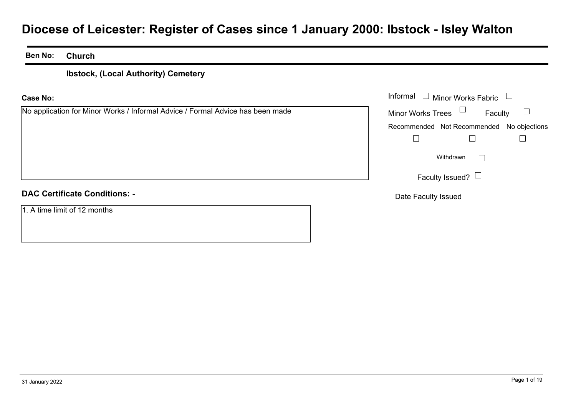# **Diocese of Leicester: Register of Cases since 1 January 2000: Ibstock - Isley Walton**

#### **Ben No:Church**

### **Ibstock, (Local Authority) Cemetery**

### **Case No:**

No application for Minor Works / Informal Advice / Formal Advice has been made

|                                                                       | Informal $\Box$ Minor Works Fabric<br>$\Box$ |  |  |
|-----------------------------------------------------------------------|----------------------------------------------|--|--|
| ation for Minor Works / Informal Advice / Formal Advice has been made | Minor Works Trees $\Box$<br>Faculty          |  |  |
|                                                                       | Recommended Not Recommended No objections    |  |  |
|                                                                       |                                              |  |  |
|                                                                       | Withdrawn<br>$\mathbf{L}$                    |  |  |
|                                                                       | Faculty Issued? $\Box$                       |  |  |
| rtificate Conditions: -                                               | Date Faculty Issued                          |  |  |

### **DAC Certificate Conditions: -**

1. A time limit of 12 months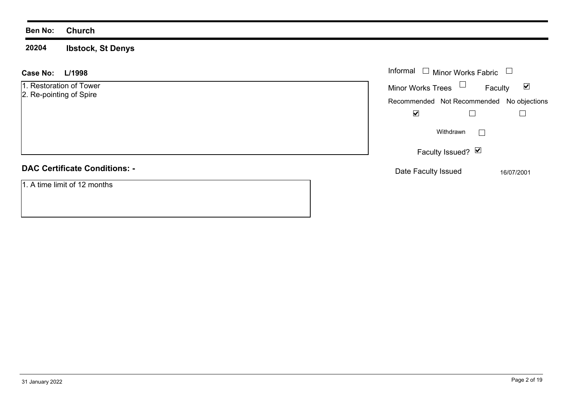### **Ben No: Church**

**20204 Ibstock, St Denys**

| L/1998<br><b>Case No:</b>            | Informal $\Box$ Minor Works Fabric $\Box$ |         |                      |
|--------------------------------------|-------------------------------------------|---------|----------------------|
| 1. Restoration of Tower              | Minor Works Trees $\Box$                  | Faculty | $\blacktriangledown$ |
| 2. Re-pointing of Spire              | Recommended Not Recommended No objections |         |                      |
|                                      | $\blacktriangledown$                      |         |                      |
|                                      | Withdrawn                                 |         |                      |
|                                      | Faculty Issued? $\vee$                    |         |                      |
| <b>DAC Certificate Conditions: -</b> | Date Faculty Issued                       |         | 16/07/2001           |
| 1. A time limit of 12 months         |                                           |         |                      |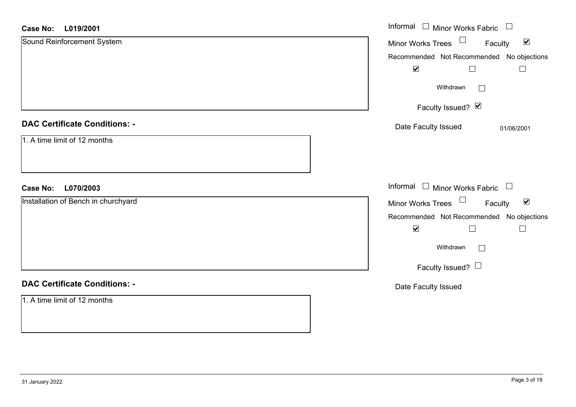| L019/2001<br><b>Case No:</b>         | Informal $\Box$ Minor Works Fabric $\Box$                                                               |
|--------------------------------------|---------------------------------------------------------------------------------------------------------|
| Sound Reinforcement System           | Minor Works Trees $\Box$<br>$\blacktriangledown$<br>Faculty                                             |
|                                      | Recommended Not Recommended No objections<br>$\blacktriangledown$<br>$\Box$<br>$\overline{\phantom{a}}$ |
|                                      | Withdrawn<br>$\Box$                                                                                     |
|                                      | Faculty Issued? Ø                                                                                       |
| <b>DAC Certificate Conditions: -</b> | Date Faculty Issued<br>01/06/2001                                                                       |
| 1. A time limit of 12 months         |                                                                                                         |
| <b>Case No:</b><br>L070/2003         | Informal $\Box$ Minor Works Fabric $\Box$                                                               |
| Installation of Bench in churchyard  | Minor Works Trees <sup>1</sup><br>$\blacktriangledown$<br>Faculty                                       |
|                                      | Recommended Not Recommended No objections                                                               |
|                                      | $\blacktriangledown$<br>$\Box$<br>$\Box$                                                                |
|                                      | Withdrawn<br>$\Box$                                                                                     |
|                                      | Faculty Issued? $\Box$                                                                                  |
| <b>DAC Certificate Conditions: -</b> | Date Faculty Issued                                                                                     |
| 1. A time limit of 12 months         |                                                                                                         |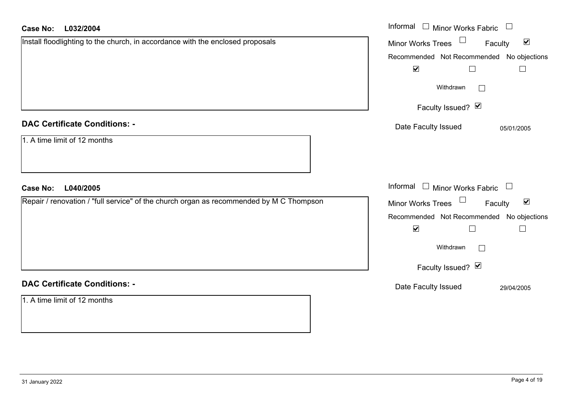| <b>Case No:</b><br>L032/2004                                                            | Informal $\Box$ Minor Works Fabric $\Box$                   |
|-----------------------------------------------------------------------------------------|-------------------------------------------------------------|
| Install floodlighting to the church, in accordance with the enclosed proposals          | Minor Works Trees<br>$\blacktriangledown$<br>Faculty        |
|                                                                                         | Recommended Not Recommended No objections                   |
|                                                                                         | $\blacktriangledown$<br>$\Box$<br>$\Box$                    |
|                                                                                         | Withdrawn<br>$\mathbb{R}^n$                                 |
|                                                                                         | Faculty Issued? Ø                                           |
| <b>DAC Certificate Conditions: -</b>                                                    | Date Faculty Issued<br>05/01/2005                           |
| 1. A time limit of 12 months                                                            |                                                             |
| L040/2005<br><b>Case No:</b>                                                            | Informal $\Box$ Minor Works Fabric $\Box$                   |
| Repair / renovation / "full service" of the church organ as recommended by M C Thompson | Minor Works Trees $\Box$<br>$\blacktriangledown$<br>Faculty |
|                                                                                         | Recommended Not Recommended No objections                   |
|                                                                                         | $\blacktriangledown$<br>$\Box$                              |
|                                                                                         | Withdrawn<br>$\mathbf{L}$                                   |
|                                                                                         | Faculty Issued? Ø                                           |
| <b>DAC Certificate Conditions: -</b>                                                    | Date Faculty Issued<br>29/04/2005                           |
| 1. A time limit of 12 months                                                            |                                                             |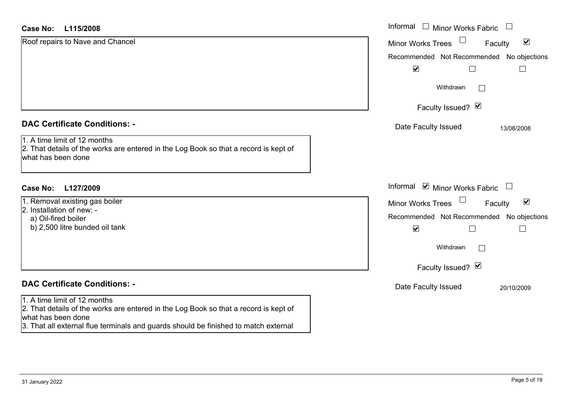| <b>Case No:</b><br>L115/2008                                                                                                                                                                                                      | Informal □ Minor Works Fabric<br>$\Box$                     |
|-----------------------------------------------------------------------------------------------------------------------------------------------------------------------------------------------------------------------------------|-------------------------------------------------------------|
| Roof repairs to Nave and Chancel                                                                                                                                                                                                  | $\blacktriangledown$<br>Minor Works Trees<br>Faculty        |
|                                                                                                                                                                                                                                   | Recommended Not Recommended No objections                   |
|                                                                                                                                                                                                                                   | $\blacktriangledown$                                        |
|                                                                                                                                                                                                                                   | Withdrawn<br>$\mathbb{R}^n$                                 |
|                                                                                                                                                                                                                                   | Faculty Issued? Ø                                           |
| <b>DAC Certificate Conditions: -</b>                                                                                                                                                                                              | Date Faculty Issued<br>13/08/2008                           |
| 1. A time limit of 12 months<br>2. That details of the works are entered in the Log Book so that a record is kept of<br>what has been done                                                                                        |                                                             |
| <b>Case No:</b><br>L127/2009                                                                                                                                                                                                      | Informal ☑ Minor Works Fabric<br>$\Box$                     |
| 1. Removal existing gas boiler                                                                                                                                                                                                    | $\blacktriangledown$<br><b>Minor Works Trees</b><br>Faculty |
| 2. Installation of new: -<br>a) Oil-fired boiler                                                                                                                                                                                  | Recommended Not Recommended No objections                   |
| b) 2,500 litre bunded oil tank                                                                                                                                                                                                    | $\blacktriangledown$<br>$\sim$                              |
|                                                                                                                                                                                                                                   | Withdrawn<br>$\Box$                                         |
|                                                                                                                                                                                                                                   | Faculty Issued? Ø                                           |
| <b>DAC Certificate Conditions: -</b>                                                                                                                                                                                              | Date Faculty Issued<br>20/10/2009                           |
| 1. A time limit of 12 months<br>2. That details of the works are entered in the Log Book so that a record is kept of<br>what has been done<br>3. That all external flue terminals and guards should be finished to match external |                                                             |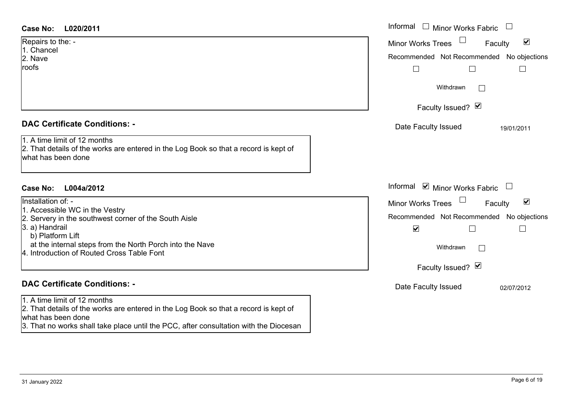| <b>Case No:</b><br>L020/2011                                                                                                                                                                                                                                  | Informal $\Box$ Minor Works Fabric $\Box$                                                                                                                                    |
|---------------------------------------------------------------------------------------------------------------------------------------------------------------------------------------------------------------------------------------------------------------|------------------------------------------------------------------------------------------------------------------------------------------------------------------------------|
| Repairs to the: -<br>1. Chancel<br>2. Nave<br>roofs                                                                                                                                                                                                           | $\blacktriangledown$<br><b>Minor Works Trees</b><br>Faculty<br>Recommended Not Recommended No objections                                                                     |
|                                                                                                                                                                                                                                                               | Withdrawn<br>$\mathbb{R}^n$<br>Faculty Issued? Ø                                                                                                                             |
| <b>DAC Certificate Conditions: -</b><br>1. A time limit of 12 months<br>2. That details of the works are entered in the Log Book so that a record is kept of<br>what has been done                                                                            | Date Faculty Issued<br>19/01/2011                                                                                                                                            |
| <b>Case No:</b><br>L004a/2012                                                                                                                                                                                                                                 | Informal ⊠ Minor Works Fabric<br>$\begin{array}{c} \hline \end{array}$                                                                                                       |
| Installation of: -<br>1. Accessible WC in the Vestry<br>2. Servery in the southwest corner of the South Aisle<br>3. a) Handrail<br>b) Platform Lift<br>at the internal steps from the North Porch into the Nave<br>4. Introduction of Routed Cross Table Font | $\blacktriangledown$<br>Faculty<br><b>Minor Works Trees</b><br>Recommended Not Recommended No objections<br>$\blacktriangledown$<br>Withdrawn<br>$\Box$<br>Faculty Issued? Ø |
| <b>DAC Certificate Conditions: -</b>                                                                                                                                                                                                                          | Date Faculty Issued<br>02/07/2012                                                                                                                                            |
| 1. A time limit of 12 months<br>2. That details of the works are entered in the Log Book so that a record is kept of<br>what has been done                                                                                                                    |                                                                                                                                                                              |

3. That no works shall take place until the PCC, after consultation with the Diocesan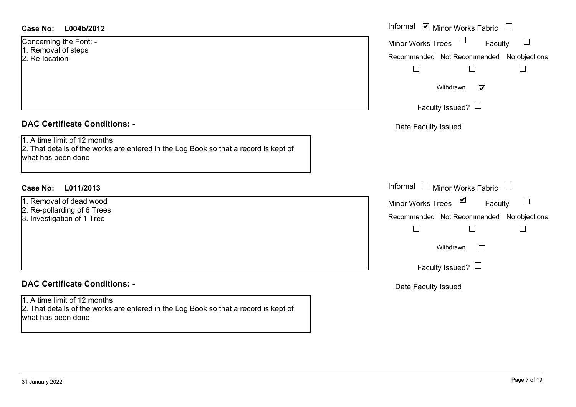| <b>Case No:</b> | L004b/2012 |
|-----------------|------------|
|-----------------|------------|

### **DAC Certificate Conditions: -**

### **DAC Certificate Conditions: -**

1. A time limit of 12 months

2. That details of the works are entered in the Log Book so that a record is kept of what has been done

| Case No:<br>L004b/2012                                                                                                                     | Informal ⊠ Minor Works Fabric                                                                              |
|--------------------------------------------------------------------------------------------------------------------------------------------|------------------------------------------------------------------------------------------------------------|
| Concerning the Font: -<br>1. Removal of steps<br>2. Re-location                                                                            | Minor Works Trees <sup>1</sup><br>$\Box$<br>Faculty<br>Recommended Not Recommended No objections<br>$\Box$ |
|                                                                                                                                            | Withdrawn<br>$\blacktriangledown$<br>Faculty Issued? $\Box$                                                |
| <b>DAC Certificate Conditions: -</b>                                                                                                       | Date Faculty Issued                                                                                        |
| 1. A time limit of 12 months<br>2. That details of the works are entered in the Log Book so that a record is kept of<br>what has been done |                                                                                                            |
| Case No:<br>L011/2013                                                                                                                      | Informal $\Box$ Minor Works Fabric                                                                         |
| 1. Removal of dead wood<br>2. Re-pollarding of 6 Trees<br>3. Investigation of 1 Tree                                                       | Minor Works Trees <b>■</b><br>$\Box$<br>Faculty<br>Recommended Not Recommended No objections               |
|                                                                                                                                            | Withdrawn<br>$\Box$<br>Faculty Issued? $\Box$                                                              |
| <b>DAC Certificate Conditions: -</b>                                                                                                       | Date Faculty Issued                                                                                        |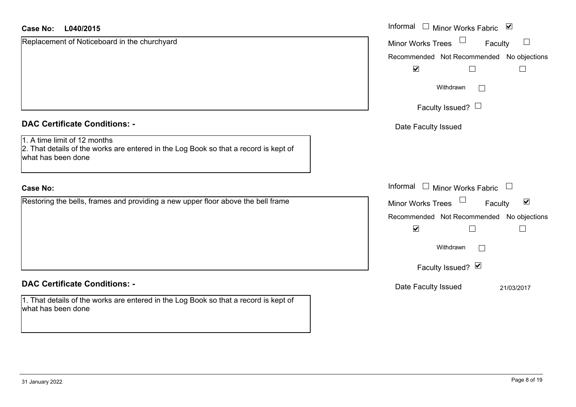| <b>Case No:</b><br>L040/2015                                                                                                               | Informal <u>I</u> Minor Works Fabric <b>⊻</b>             |
|--------------------------------------------------------------------------------------------------------------------------------------------|-----------------------------------------------------------|
| Replacement of Noticeboard in the churchyard                                                                                               | $\Box$<br>Minor Works Trees<br>Faculty                    |
|                                                                                                                                            | No objections<br>Recommended Not Recommended              |
|                                                                                                                                            | $\blacktriangledown$                                      |
|                                                                                                                                            | Withdrawn<br>$\perp$                                      |
|                                                                                                                                            | Faculty Issued? $\Box$                                    |
| <b>DAC Certificate Conditions: -</b>                                                                                                       | Date Faculty Issued                                       |
| 1. A time limit of 12 months<br>2. That details of the works are entered in the Log Book so that a record is kept of<br>what has been done |                                                           |
| <b>Case No:</b>                                                                                                                            | Informal □ Minor Works Fabric<br>$\overline{\phantom{a}}$ |
| Restoring the bells, frames and providing a new upper floor above the bell frame                                                           | $\blacktriangledown$<br>Minor Works Trees<br>Faculty      |
|                                                                                                                                            | Recommended Not Recommended No objections                 |
|                                                                                                                                            | $\blacktriangledown$<br>$\Box$                            |
|                                                                                                                                            | Withdrawn<br>$\vert \ \ \vert$                            |
|                                                                                                                                            | Faculty Issued? Ø                                         |
| <b>DAC Certificate Conditions: -</b>                                                                                                       | Date Faculty Issued<br>21/03/2017                         |
| 1. That details of the works are entered in the Log Book so that a record is kept of<br>what has been done                                 |                                                           |

 $\sim$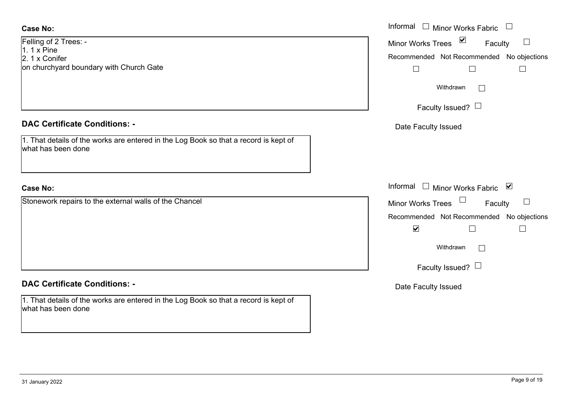### **Case No:**

Felling of 2 Trees: -  $1.1 \times$  Pine 2. 1 x Coniferon churchyard boundary with Church Gate

### **DAC Certificate Conditions: -**

1. That details of the works are entered in the Log Book so that a record is kept of what has been done

### **Case No:**

Stonework repairs to the external walls of the Chancel

### **DAC Certificate Conditions: -**

1. That details of the works are entered in the Log Book so that a record is kept of what has been done

|                                                                                          | Informal $\Box$ Minor Works Fabric $\Box$                                                                                                               |
|------------------------------------------------------------------------------------------|---------------------------------------------------------------------------------------------------------------------------------------------------------|
| $: 2$ Trees: -<br>۱e<br>nifer<br>hyard boundary with Church Gate                         | Minor Works Trees ⊠<br>Faculty<br>Recommended Not Recommended No objections                                                                             |
|                                                                                          | Withdrawn<br>$\sim$                                                                                                                                     |
| rtificate Conditions: -                                                                  | Faculty Issued? $\Box$<br>Date Faculty Issued                                                                                                           |
| etails of the works are entered in the Log Book so that a record is kept of<br>been done |                                                                                                                                                         |
|                                                                                          | Informal $\Box$ Minor Works Fabric $\Box$                                                                                                               |
| rk repairs to the external walls of the Chancel                                          | Minor Works Trees<br>Faculty<br>Recommended Not Recommended No objections<br>$\blacktriangledown$<br>└<br>Withdrawn<br>$\Box$<br>Faculty Issued? $\Box$ |
| rtificate Conditions: -                                                                  | Date Faculty Issued                                                                                                                                     |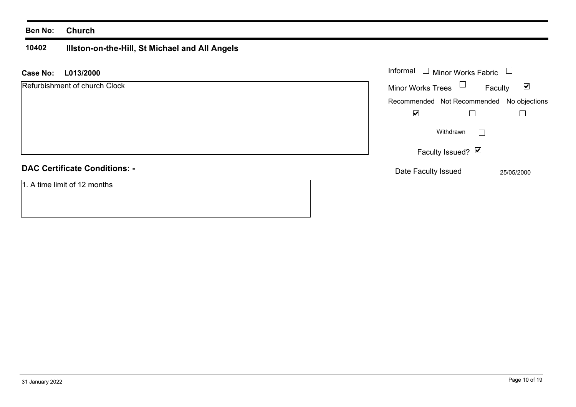### **Ben No: Church**

### **10402 Illston-on-the-Hill, St Michael and All Angels**

| <b>Case No:</b><br>L013/2000         | Informal<br>Minor Works Fabric            |                                 |  |
|--------------------------------------|-------------------------------------------|---------------------------------|--|
| Refurbishment of church Clock        | $\Box$<br><b>Minor Works Trees</b>        | $\blacktriangledown$<br>Faculty |  |
|                                      | Recommended Not Recommended No objections |                                 |  |
|                                      | $\blacktriangledown$                      |                                 |  |
|                                      | Withdrawn                                 | L                               |  |
|                                      | Faculty Issued? $\vert \mathbf{v} \vert$  |                                 |  |
| <b>DAC Certificate Conditions: -</b> | Date Faculty Issued                       | 25/05/2000                      |  |
| 1. A time limit of 12 months         |                                           |                                 |  |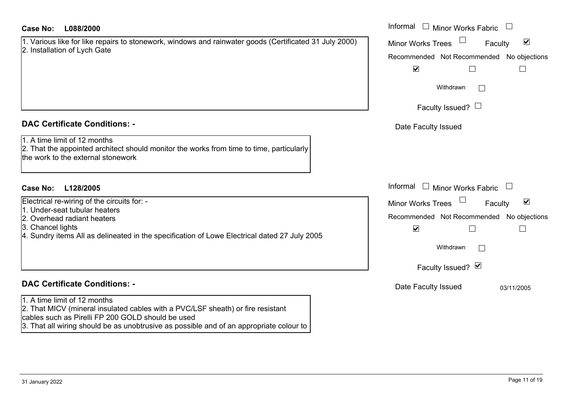### **L088/2000Case No:** Informal

| 1. Various like for like repairs to stonework, windows and rainwater goods (Certificated 31 July 2000) |  |  |  |
|--------------------------------------------------------------------------------------------------------|--|--|--|
| 2. Installation of Lych Gate                                                                           |  |  |  |

### **DAC Certificate Conditions: -**

1. A time limit of 12 months

2. That the appointed architect should monitor the works from time to time, particularly the work to the external stonework

### **L128/2005Case No:** Informal

Electrical re-wiring of the circuits for: -

- 1. Under-seat tubular heaters
- 2. Overhead radiant heaters
- 3. Chancel lights
- 4. Sundry items All as delineated in the specification of Lowe Electrical dated 27 July 2005

## **DAC Certificate Conditions: -**

1. A time limit of 12 months

2. That MICV (mineral insulated cables with a PVC/LSF sheath) or fire resistant cables such as Pirelli FP 200 GOLD should be used

3. That all wiring should be as unobtrusive as possible and of an appropriate colour to

| Informal<br><b>Minor Works Fabric</b>                                                                         |  |
|---------------------------------------------------------------------------------------------------------------|--|
| $\blacktriangledown$<br><b>Minor Works Trees</b><br>Faculty<br>Recommended Not Recommended No objections<br>⊻ |  |
| Withdrawn<br>Faculty Issued? L                                                                                |  |
| Date Faculty Issued                                                                                           |  |
|                                                                                                               |  |
| Informal<br><b>Minor Works Fabric</b>                                                                         |  |
| $\vert\bm{\mathsf{v}}\vert$<br><b>Minor Works Trees</b><br>Faculty                                            |  |
| Recommended Not Recommended No objections<br>⊻                                                                |  |
| Withdrawn                                                                                                     |  |
| Faculty Issued? Ø                                                                                             |  |
| Date Faculty Issued<br>03/11/2005                                                                             |  |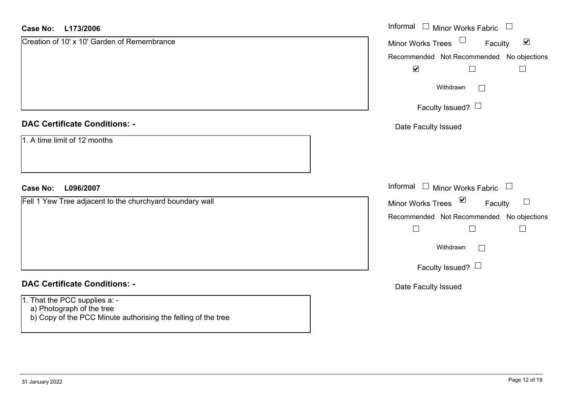#### **L173/2006Case No:**

| <b>Case No:</b><br>L173/2006                                                                                                | Informal □ Minor Works Fabric                                  |
|-----------------------------------------------------------------------------------------------------------------------------|----------------------------------------------------------------|
| Creation of 10' x 10' Garden of Remembrance                                                                                 | $\blacktriangledown$<br>Minor Works Trees<br>Faculty           |
|                                                                                                                             | Recommended Not Recommended No objections                      |
|                                                                                                                             | $\blacktriangledown$<br>$\Box$                                 |
|                                                                                                                             | Withdrawn                                                      |
|                                                                                                                             | Faculty Issued? $\Box$                                         |
| <b>DAC Certificate Conditions: -</b>                                                                                        | Date Faculty Issued                                            |
| 1. A time limit of 12 months                                                                                                |                                                                |
| <b>Case No:</b><br>L096/2007                                                                                                | Informal $\Box$ Minor Works Fabric<br>$\overline{\phantom{a}}$ |
| Fell 1 Yew Tree adjacent to the churchyard boundary wall                                                                    | $\triangledown$<br>$\Box$<br>Minor Works Trees<br>Faculty      |
|                                                                                                                             | Recommended Not Recommended<br>No objections                   |
|                                                                                                                             | $\Box$<br>$\Box$<br>$\Box$                                     |
|                                                                                                                             | Withdrawn                                                      |
|                                                                                                                             | Faculty Issued? $\Box$                                         |
| <b>DAC Certificate Conditions: -</b>                                                                                        | Date Faculty Issued                                            |
| 1. That the PCC supplies a: -<br>a) Photograph of the tree<br>b) Copy of the PCC Minute authorising the felling of the tree |                                                                |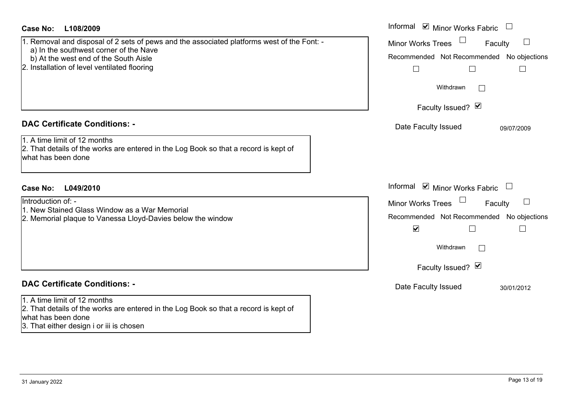| <b>Case No:</b><br>L108/2009                                                                                                                                                                                                  | Informal ⊠ Minor Works Fabric                                                                                                              |
|-------------------------------------------------------------------------------------------------------------------------------------------------------------------------------------------------------------------------------|--------------------------------------------------------------------------------------------------------------------------------------------|
| 1. Removal and disposal of 2 sets of pews and the associated platforms west of the Font: -<br>a) In the southwest corner of the Nave<br>b) At the west end of the South Aisle<br>2. Installation of level ventilated flooring | Minor Works Trees<br>Faculty<br>$\Box$<br>Recommended Not Recommended No objections<br>$\Box$<br>Withdrawn<br>Faculty Issued? Ø            |
| <b>DAC Certificate Conditions: -</b><br>1. A time limit of 12 months<br>2. That details of the works are entered in the Log Book so that a record is kept of<br>what has been done                                            | Date Faculty Issued<br>09/07/2009                                                                                                          |
| <b>Case No:</b><br>L049/2010                                                                                                                                                                                                  | Informal ⊠ Minor Works Fabric                                                                                                              |
| Introduction of: -<br>1. New Stained Glass Window as a War Memorial<br>2. Memorial plaque to Vanessa Lloyd-Davies below the window                                                                                            | <b>Minor Works Trees</b><br>Faculty<br>Recommended Not Recommended No objections<br>$\blacktriangledown$<br>Withdrawn<br>Faculty Issued? Ø |
| <b>DAC Certificate Conditions: -</b>                                                                                                                                                                                          | Date Faculty Issued<br>30/01/2012                                                                                                          |
| 1. A time limit of 12 months<br>2. That details of the works are entered in the Log Book so that a record is kept of<br>lwhat has been done<br>3. That either design i or iii is chosen                                       |                                                                                                                                            |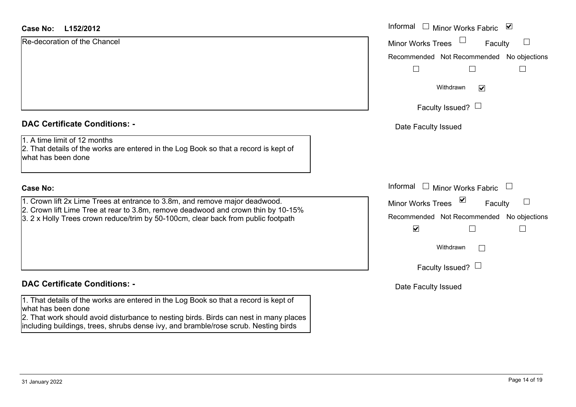### **L152/2012Case No:** Informal

Re-decoration of the Chancel

|  |  | <b>DAC Certificate Conditions: -</b> |  |
|--|--|--------------------------------------|--|
|--|--|--------------------------------------|--|

1. A time limit of 12 months

2. That details of the works are entered in the Log Book so that a record is kept of what has been done

### **Case No:**

1. Crown lift 2x Lime Trees at entrance to 3.8m, and remove major deadwood.

2. Crown lift Lime Tree at rear to 3.8m, remove deadwood and crown thin by 10-15%

3. 2 x Holly Trees crown reduce/trim by 50-100cm, clear back from public footpath

### **DAC Certificate Conditions: -**

1. That details of the works are entered in the Log Book so that a record is kept of what has been done

2. That work should avoid disturbance to nesting birds. Birds can nest in many places including buildings, trees, shrubs dense ivy, and bramble/rose scrub. Nesting birds

| L152/2012                                                                                                                                            | Informal<br>$\Box$ Minor Works Fabric<br>⊻      |
|------------------------------------------------------------------------------------------------------------------------------------------------------|-------------------------------------------------|
| ation of the Chancel                                                                                                                                 | Minor Works Trees<br>Faculty                    |
|                                                                                                                                                      | Recommended Not Recommended No objections       |
|                                                                                                                                                      |                                                 |
|                                                                                                                                                      | Withdrawn<br>$\blacktriangledown$               |
|                                                                                                                                                      | Faculty Issued? $\Box$                          |
| rtificate Conditions: -                                                                                                                              | Date Faculty Issued                             |
| limit of 12 months<br>etails of the works are entered in the Log Book so that a record is kept of<br>been done                                       |                                                 |
|                                                                                                                                                      | Informal<br>$\Box$<br><b>Minor Works Fabric</b> |
| lift 2x Lime Trees at entrance to 3.8m, and remove major deadwood.                                                                                   | Minor Works Trees ⊠<br>Faculty                  |
| lift Lime Tree at rear to 3.8m, remove deadwood and crown thin by 10-15%<br>Ily Trees crown reduce/trim by 50-100cm, clear back from public footpath | Recommended Not Recommended No objections       |
|                                                                                                                                                      | $\blacktriangledown$                            |
|                                                                                                                                                      | Withdrawn                                       |
|                                                                                                                                                      | Faculty Issued?                                 |

Date Faculty Issued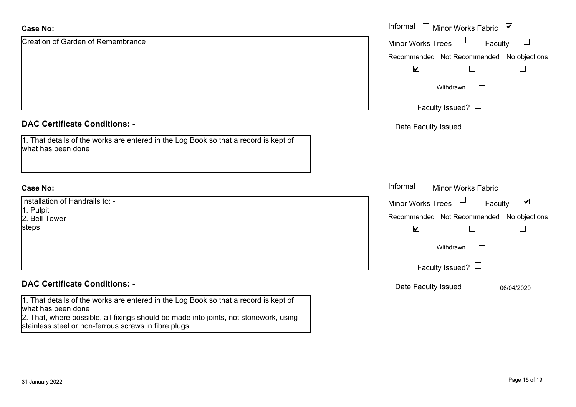| <b>Case No:</b>                                                                                                                               | Informal $\square$<br>Minor Works Fabric ⊠                  |
|-----------------------------------------------------------------------------------------------------------------------------------------------|-------------------------------------------------------------|
| <b>Creation of Garden of Remembrance</b>                                                                                                      | $\Box$<br><b>Minor Works Trees</b><br>Faculty               |
|                                                                                                                                               | Recommended Not Recommended No objections                   |
|                                                                                                                                               | $\blacktriangledown$                                        |
|                                                                                                                                               | Withdrawn<br>$\Box$                                         |
|                                                                                                                                               | Faculty Issued? $\Box$                                      |
| <b>DAC Certificate Conditions: -</b>                                                                                                          | Date Faculty Issued                                         |
| 1. That details of the works are entered in the Log Book so that a record is kept of<br>what has been done                                    |                                                             |
| <b>Case No:</b>                                                                                                                               | Informal<br>$\perp$<br>Minor Works Fabric<br>$\Box$         |
| Installation of Handrails to: -                                                                                                               | $\blacktriangledown$<br><b>Minor Works Trees</b><br>Faculty |
| 1. Pulpit<br>2. Bell Tower                                                                                                                    | Recommended Not Recommended No objections                   |
| steps                                                                                                                                         | $\blacktriangledown$                                        |
|                                                                                                                                               | Withdrawn<br>$\mathbf{1}$                                   |
|                                                                                                                                               | Faculty Issued? $\Box$                                      |
| <b>DAC Certificate Conditions: -</b>                                                                                                          | Date Faculty Issued<br>06/04/2020                           |
| 1. That details of the works are entered in the Log Book so that a record is kept of<br>what has been done                                    |                                                             |
| 2. That, where possible, all fixings should be made into joints, not stonework, using<br>stainless steel or non-ferrous screws in fibre plugs |                                                             |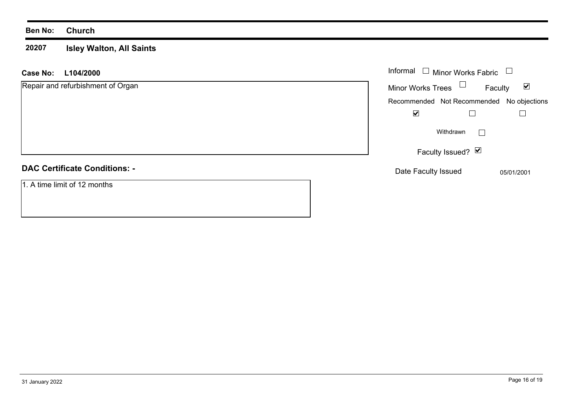### **Ben No: Church**

#### **20207 Isley Walton, All Saints**

### **L104/2000 Case No:** Informal

| Repair and refurbishment of Organ    | <b>Minor Works Trees</b>                  | Faculty                     | ☑          |
|--------------------------------------|-------------------------------------------|-----------------------------|------------|
|                                      | Recommended Not Recommended No objections |                             |            |
|                                      | ☑                                         |                             |            |
|                                      |                                           | Withdrawn<br>$\blacksquare$ |            |
|                                      |                                           | Faculty Issued? Ø           |            |
| <b>DAC Certificate Conditions: -</b> | Date Faculty Issued                       |                             | 05/01/2001 |
| 1. A time limit of 12 months         |                                           |                             |            |

Minor Works Fabric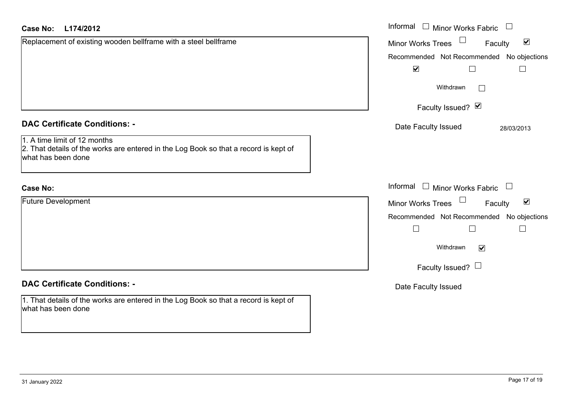| <b>Case No:</b><br>L174/2012                                                                                                               | Informal $\Box$ Minor Works Fabric $\Box$            |
|--------------------------------------------------------------------------------------------------------------------------------------------|------------------------------------------------------|
| Replacement of existing wooden bellframe with a steel bellframe                                                                            | $\blacktriangledown$<br>Minor Works Trees<br>Faculty |
|                                                                                                                                            | Recommended Not Recommended No objections            |
|                                                                                                                                            | $\blacktriangledown$<br>$\Box$<br>$\Box$             |
|                                                                                                                                            | Withdrawn                                            |
|                                                                                                                                            | Faculty Issued? Ø                                    |
| <b>DAC Certificate Conditions: -</b>                                                                                                       | Date Faculty Issued<br>28/03/2013                    |
| 1. A time limit of 12 months<br>2. That details of the works are entered in the Log Book so that a record is kept of<br>what has been done |                                                      |
| <b>Case No:</b>                                                                                                                            | Informal $\Box$ Minor Works Fabric $\Box$            |
| <b>Future Development</b>                                                                                                                  | Minor Works Trees<br>$\blacktriangledown$<br>Faculty |
|                                                                                                                                            | Recommended Not Recommended<br>No objections         |
|                                                                                                                                            | $\Box$<br>$\Box$<br>$\Box$                           |
|                                                                                                                                            | Withdrawn<br>$\blacktriangledown$                    |
|                                                                                                                                            | Faculty Issued? $\Box$                               |
| <b>DAC Certificate Conditions: -</b>                                                                                                       | Date Faculty Issued                                  |
| 1. That details of the works are entered in the Log Book so that a record is kept of<br>what has been done                                 |                                                      |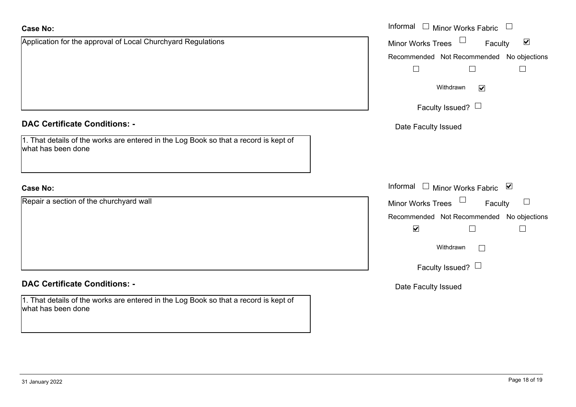| <b>Case No:</b>                                                                                            | Informal $\Box$ Minor Works Fabric $\Box$            |
|------------------------------------------------------------------------------------------------------------|------------------------------------------------------|
| Application for the approval of Local Churchyard Regulations                                               | $\blacktriangledown$<br>Faculty<br>Minor Works Trees |
|                                                                                                            | Recommended Not Recommended No objections            |
|                                                                                                            | $\Box$<br>$\Box$<br>$\overline{\phantom{a}}$         |
|                                                                                                            | Withdrawn<br>$\blacktriangledown$                    |
|                                                                                                            | Faculty Issued? $\Box$                               |
| <b>DAC Certificate Conditions: -</b>                                                                       | Date Faculty Issued                                  |
| 1. That details of the works are entered in the Log Book so that a record is kept of<br>what has been done |                                                      |
| <b>Case No:</b>                                                                                            | Informal □ Minor Works Fabric ⊠                      |
| Repair a section of the churchyard wall                                                                    | Minor Works Trees<br>Faculty                         |
|                                                                                                            | Recommended Not Recommended No objections            |
|                                                                                                            | $\blacktriangledown$<br>$\Box$<br>$\mathbb{L}$       |
|                                                                                                            | Withdrawn<br>$\overline{1}$                          |
|                                                                                                            | Faculty Issued? $\Box$                               |
| <b>DAC Certificate Conditions: -</b>                                                                       | Date Faculty Issued                                  |
| 1. That details of the works are entered in the Log Book so that a record is kept of<br>what has been done |                                                      |